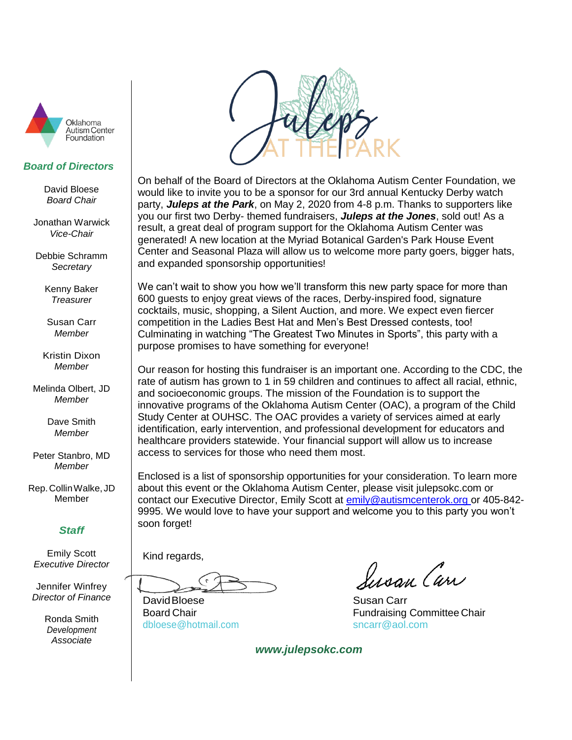

#### *Board of Directors*

David Bloese *Board Chair*

Jonathan Warwick *Vice-Chair*

Debbie Schramm *Secretary*

> Kenny Baker *Treasurer*

Susan Carr *Member*

Kristin Dixon *Member*

Melinda Olbert, JD *Member*

> Dave Smith *Member*

Peter Stanbro, MD *Member*

Rep.CollinWalke, JD Member

### *Staff*

Emily Scott *Executive Director*

Jennifer Winfrey *Director of Finance*

> Ronda Smith *Development Associate*



On behalf of the Board of Directors at the Oklahoma Autism Center Foundation, we would like to invite you to be a sponsor for our 3rd annual Kentucky Derby watch party, *Juleps at the Park*, on May 2, 2020 from 4-8 p.m. Thanks to supporters like you our first two Derby- themed fundraisers, *Juleps at the Jones*, sold out! As a result, a great deal of program support for the Oklahoma Autism Center was generated! A new location at the Myriad Botanical Garden's Park House Event Center and Seasonal Plaza will allow us to welcome more party goers, bigger hats, and expanded sponsorship opportunities!

We can't wait to show you how we'll transform this new party space for more than 600 guests to enjoy great views of the races, Derby-inspired food, signature cocktails, music, shopping, a Silent Auction, and more. We expect even fiercer competition in the Ladies Best Hat and Men's Best Dressed contests, too! Culminating in watching "The Greatest Two Minutes in Sports", this party with a purpose promises to have something for everyone!

Our reason for hosting this fundraiser is an important one. According to the CDC, the rate of autism has grown to 1 in 59 children and continues to affect all racial, ethnic, and socioeconomic groups. The mission of the Foundation is to support the innovative programs of the Oklahoma Autism Center (OAC), a program of the Child Study Center at OUHSC. The OAC provides a variety of services aimed at early identification, early intervention, and professional development for educators and healthcare providers statewide. Your financial support will allow us to increase access to services for those who need them most.

Enclosed is a list of sponsorship opportunities for your consideration. To learn more about this event or the Oklahoma Autism Center, please visit julepsokc.com or contact our Executive Director, Emily Scott at [emily@autismcenterok.org o](mailto:emily@autismcenterok.org)r 405-842- 9995. We would love to have your support and welcome you to this party you won't soon forget!

Kind regards,

David Bloese **Susan Carr** 

[dbloese@hotmail.com](mailto:dbloese@hotmail.com) [sncarr@aol.com](mailto:sncarr@aol.com)

Susan Carr

Board Chair **Fundraising Committee Chair** Fundraising Committee Chair

 *www.julepsokc.com*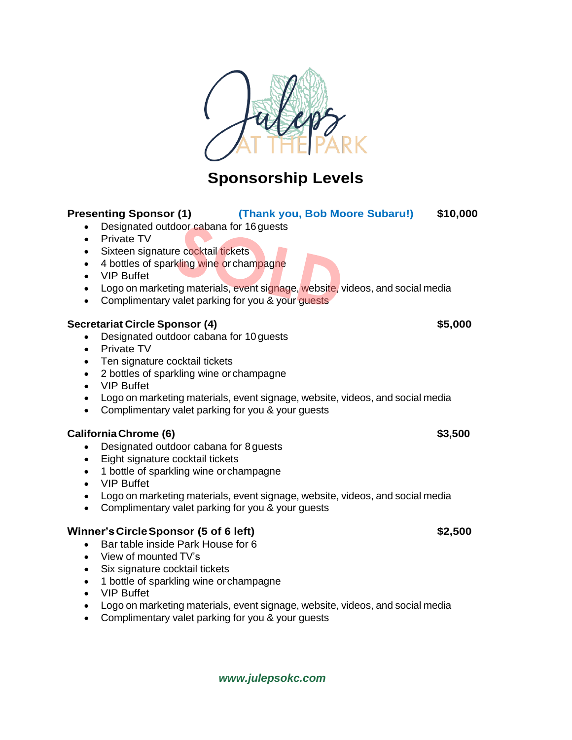

# **Sponsorship Levels**

### **Presenting Sponsor (1) (Thank you, Bob Moore Subaru!) \$10,000**

- Designated outdoor cabana for 16 quests
- Private TV
- Sixteen signature cocktail tickets
- 4 bottles of sparkling wine or champagne
- VIP Buffet
- Logo on marketing materials, event signage, website, videos, and social media
- Complimentary valet parking for you & your guests

### **Secretariat Circle Sponsor (4) \$5,000**

- Designated outdoor cabana for 10 guests
- Private TV
- Ten signature cocktail tickets
- 2 bottles of sparkling wine or champagne
- VIP Buffet
- Logo on marketing materials, event signage, website, videos, and social media
- Complimentary valet parking for you & your guests

### **CaliforniaChrome (6) \$3,500**

- Designated outdoor cabana for 8 guests
- Eight signature cocktail tickets
- 1 bottle of sparkling wine or champagne
- VIP Buffet
- Logo on marketing materials, event signage, website, videos, and social media
- Complimentary valet parking for you & your guests

### **Winner'sCircleSponsor (5 of 6 left) \$2,500**

- Bar table inside Park House for 6
- View of mounted TV's
- Six signature cocktail tickets
- 1 bottle of sparkling wine or champagne
- VIP Buffet
- Logo on marketing materials, event signage, website, videos, and social media
- Complimentary valet parking for you & your guests

### *www.julepsokc.com*